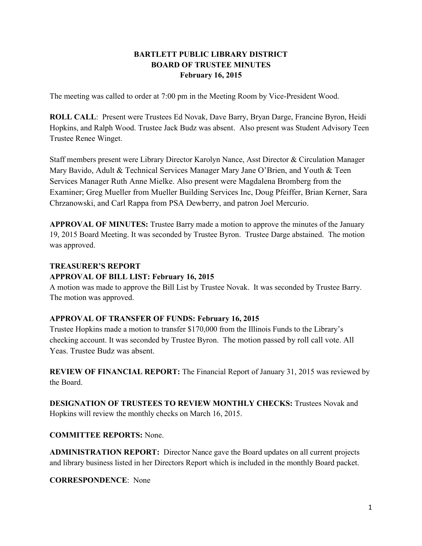# **BARTLETT PUBLIC LIBRARY DISTRICT BOARD OF TRUSTEE MINUTES February 16, 2015**

The meeting was called to order at 7:00 pm in the Meeting Room by Vice-President Wood.

**ROLL CALL**: Present were Trustees Ed Novak, Dave Barry, Bryan Darge, Francine Byron, Heidi Hopkins, and Ralph Wood. Trustee Jack Budz was absent. Also present was Student Advisory Teen Trustee Renee Winget.

Staff members present were Library Director Karolyn Nance, Asst Director & Circulation Manager Mary Bavido, Adult & Technical Services Manager Mary Jane O'Brien, and Youth & Teen Services Manager Ruth Anne Mielke. Also present were Magdalena Bromberg from the Examiner; Greg Mueller from Mueller Building Services Inc, Doug Pfeiffer, Brian Kerner, Sara Chrzanowski, and Carl Rappa from PSA Dewberry, and patron Joel Mercurio.

**APPROVAL OF MINUTES:** Trustee Barry made a motion to approve the minutes of the January 19, 2015 Board Meeting. It was seconded by Trustee Byron. Trustee Darge abstained. The motion was approved.

### **TREASURER'S REPORT**

### **APPROVAL OF BILL LIST: February 16, 2015**

A motion was made to approve the Bill List by Trustee Novak. It was seconded by Trustee Barry. The motion was approved.

## **APPROVAL OF TRANSFER OF FUNDS: February 16, 2015**

Trustee Hopkins made a motion to transfer \$170,000 from the Illinois Funds to the Library's checking account. It was seconded by Trustee Byron. The motion passed by roll call vote. All Yeas. Trustee Budz was absent.

**REVIEW OF FINANCIAL REPORT:** The Financial Report of January 31, 2015 was reviewed by the Board.

**DESIGNATION OF TRUSTEES TO REVIEW MONTHLY CHECKS:** Trustees Novak and Hopkins will review the monthly checks on March 16, 2015.

#### **COMMITTEE REPORTS:** None.

**ADMINISTRATION REPORT:** Director Nance gave the Board updates on all current projects and library business listed in her Directors Report which is included in the monthly Board packet.

**CORRESPONDENCE**: None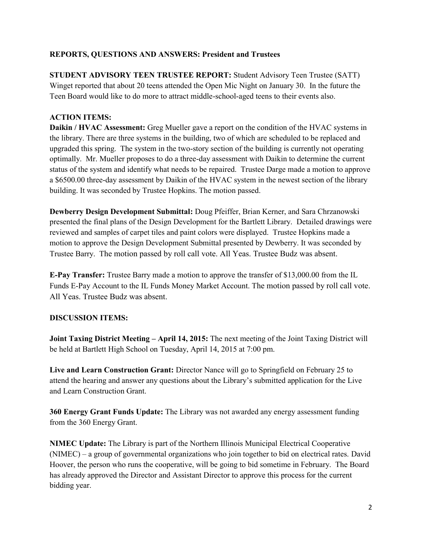## **REPORTS, QUESTIONS AND ANSWERS: President and Trustees**

**STUDENT ADVISORY TEEN TRUSTEE REPORT:** Student Advisory Teen Trustee (SATT) Winget reported that about 20 teens attended the Open Mic Night on January 30. In the future the Teen Board would like to do more to attract middle-school-aged teens to their events also.

#### **ACTION ITEMS:**

**Daikin / HVAC Assessment:** Greg Mueller gave a report on the condition of the HVAC systems in the library. There are three systems in the building, two of which are scheduled to be replaced and upgraded this spring. The system in the two-story section of the building is currently not operating optimally. Mr. Mueller proposes to do a three-day assessment with Daikin to determine the current status of the system and identify what needs to be repaired. Trustee Darge made a motion to approve a \$6500.00 three-day assessment by Daikin of the HVAC system in the newest section of the library building. It was seconded by Trustee Hopkins. The motion passed.

**Dewberry Design Development Submittal:** Doug Pfeiffer, Brian Kerner, and Sara Chrzanowski presented the final plans of the Design Development for the Bartlett Library. Detailed drawings were reviewed and samples of carpet tiles and paint colors were displayed. Trustee Hopkins made a motion to approve the Design Development Submittal presented by Dewberry. It was seconded by Trustee Barry. The motion passed by roll call vote. All Yeas. Trustee Budz was absent.

**E-Pay Transfer:** Trustee Barry made a motion to approve the transfer of \$13,000.00 from the IL Funds E-Pay Account to the IL Funds Money Market Account. The motion passed by roll call vote. All Yeas. Trustee Budz was absent.

#### **DISCUSSION ITEMS:**

**Joint Taxing District Meeting – April 14, 2015:** The next meeting of the Joint Taxing District will be held at Bartlett High School on Tuesday, April 14, 2015 at 7:00 pm.

**Live and Learn Construction Grant:** Director Nance will go to Springfield on February 25 to attend the hearing and answer any questions about the Library's submitted application for the Live and Learn Construction Grant.

**360 Energy Grant Funds Update:** The Library was not awarded any energy assessment funding from the 360 Energy Grant.

**NIMEC Update:** The Library is part of the Northern Illinois Municipal Electrical Cooperative (NIMEC) – a group of governmental organizations who join together to bid on electrical rates. David Hoover, the person who runs the cooperative, will be going to bid sometime in February. The Board has already approved the Director and Assistant Director to approve this process for the current bidding year.